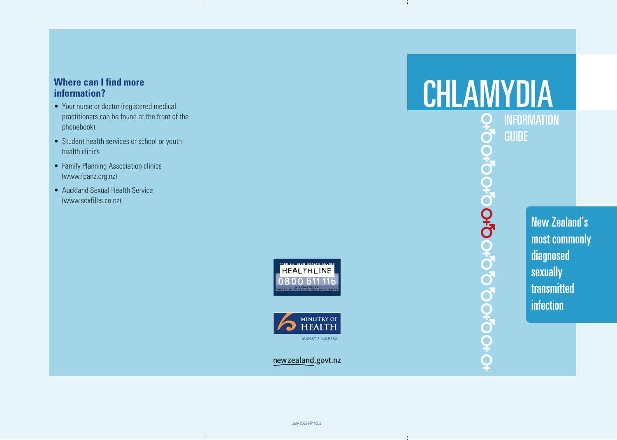#### **Where can I find more information?**

- Your nurse or doctor (registered medical practitioners can be found at the front of the phonebook).
- Student health services or school or youth health clinics
- Family Planning Association clinics (www.fpanz.org.nz)
- Auckland Sexual Health Service (www.sexfiles.co.nz)





newzealand.govt.nz

# **CHLAMYDIA**<br>
Per INFORMATION<br> **CHLAMYDIA**

**INFORMATION** GUIDE 0+0000000000000000000

New Zealand's most commonly diagnosed sexually transmitted infection